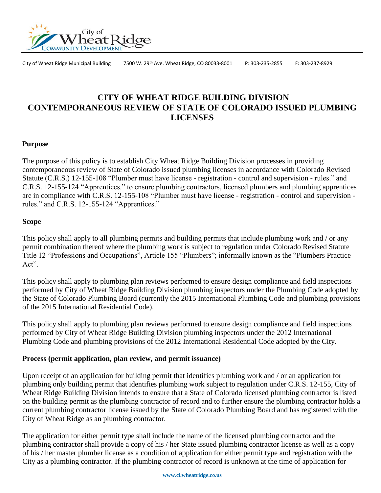

City of Wheat Ridge Municipal Building 7500 W. 29th Ave. Wheat Ridge, CO 80033-8001 P: 303-235-2855 F: 303-237-8929

# **CITY OF WHEAT RIDGE BUILDING DIVISION CONTEMPORANEOUS REVIEW OF STATE OF COLORADO ISSUED PLUMBING LICENSES**

### **Purpose**

The purpose of this policy is to establish City Wheat Ridge Building Division processes in providing contemporaneous review of State of Colorado issued plumbing licenses in accordance with Colorado Revised Statute (C.R.S.) 12-155-108 "Plumber must have license - registration - control and supervision - rules." and C.R.S. 12-155-124 "Apprentices." to ensure plumbing contractors, licensed plumbers and plumbing apprentices are in compliance with C.R.S. 12-155-108 "Plumber must have license - registration - control and supervision rules." and C.R.S. 12-155-124 "Apprentices."

### **Scope**

This policy shall apply to all plumbing permits and building permits that include plumbing work and / or any permit combination thereof where the plumbing work is subject to regulation under Colorado Revised Statute Title 12 "Professions and Occupations", Article 155 "Plumbers"; informally known as the "Plumbers Practice Act".

This policy shall apply to plumbing plan reviews performed to ensure design compliance and field inspections performed by City of Wheat Ridge Building Division plumbing inspectors under the Plumbing Code adopted by the State of Colorado Plumbing Board (currently the 2015 International Plumbing Code and plumbing provisions of the 2015 International Residential Code).

This policy shall apply to plumbing plan reviews performed to ensure design compliance and field inspections performed by City of Wheat Ridge Building Division plumbing inspectors under the 2012 International Plumbing Code and plumbing provisions of the 2012 International Residential Code adopted by the City.

#### **Process (permit application, plan review, and permit issuance)**

Upon receipt of an application for building permit that identifies plumbing work and / or an application for plumbing only building permit that identifies plumbing work subject to regulation under C.R.S. 12-155, City of Wheat Ridge Building Division intends to ensure that a State of Colorado licensed plumbing contractor is listed on the building permit as the plumbing contractor of record and to further ensure the plumbing contractor holds a current plumbing contractor license issued by the State of Colorado Plumbing Board and has registered with the City of Wheat Ridge as an plumbing contractor.

The application for either permit type shall include the name of the licensed plumbing contractor and the plumbing contractor shall provide a copy of his / her State issued plumbing contractor license as well as a copy of his / her master plumber license as a condition of application for either permit type and registration with the City as a plumbing contractor. If the plumbing contractor of record is unknown at the time of application for